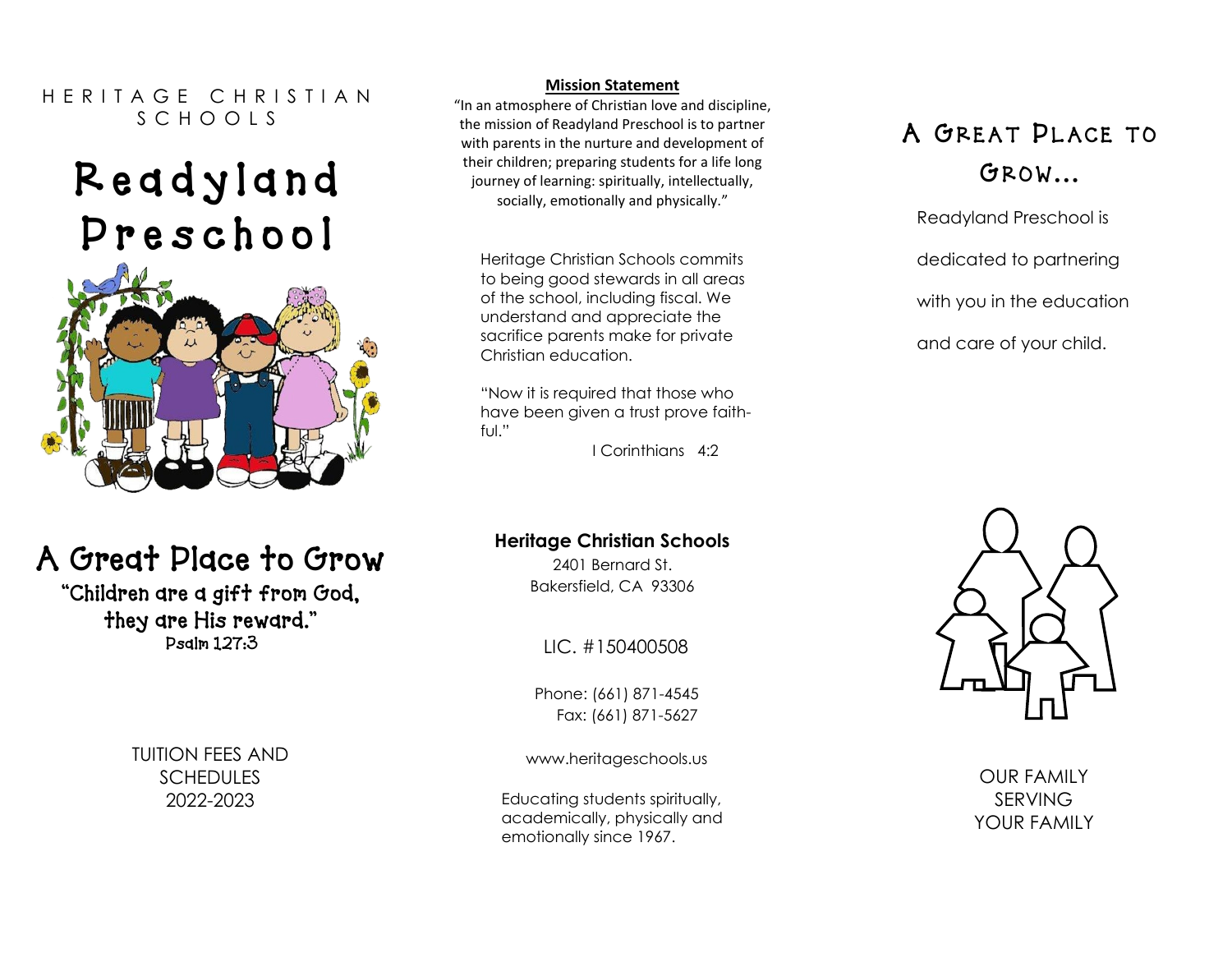#### H F R I T A G F C H R I S T I A N S C H O O L S

# R e a d y l a n d P r e s c h o o l



# A Great Place to Grow

"Children are a gift from God, they are His reward." Psalm 127:3

> TUITION FEES AND **SCHEDULES** 2022-2023

#### **Mission Statement**

"In an atmosphere of Christian love and discipline, the mission of Readyland Preschool is to partner with parents in the nurture and development of their children; preparing students for a life long journey of learning: spiritually, intellectually, socially, emotionally and physically."

Heritage Christian Schools commits to being good stewards in all areas of the school, including fiscal. We understand and appreciate the sacrifice parents make for private Christian education.

"Now it is required that those who have been given a trust prove faithful."

I Corinthians 4:2

#### **Heritage Christian Schools**

2401 Bernard St. Bakersfield, CA 93306

LIC. #150400508

Phone: (661) 871-4545 Fax: (661) 871-5627

www.heritageschools.us

Educating students spiritually, academically, physically and emotionally since 1967.

## A GREAT PLACE TO GROW...

Readyland Preschool is dedicated to partnering with you in the education and care of your child.



OUR FAMILY SERVING YOUR FAMILY